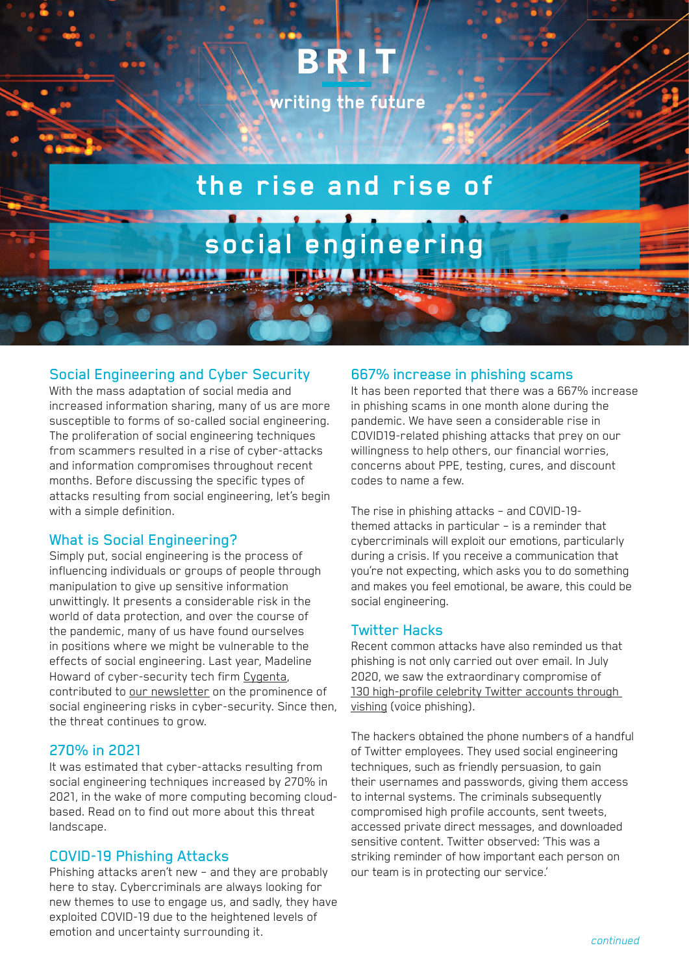# BRIT

writing the future

## **the rise and rise of**

**social engineering**

**OFIN BOIN UNDER A BUTE - BE** 

### Social Engineering and Cyber Security

With the mass adaptation of social media and increased information sharing, many of us are more susceptible to forms of so-called social engineering. The proliferation of social engineering techniques from scammers resulted in a rise of cyber-attacks and information compromises throughout recent months. Before discussing the specific types of attacks resulting from social engineering, let's begin with a simple definition.

#### What is Social Engineering?

Simply put, social engineering is the process of influencing individuals or groups of people through manipulation to give up sensitive information unwittingly. It presents a considerable risk in the world of data protection, and over the course of the pandemic, many of us have found ourselves in positions where we might be vulnerable to the effects of social engineering. Last year, Madeline Howard of cyber-security tech firm [Cygenta,](https://www.cygenta.co.uk/) contributed to [our newsletter](https://www.britinsurance.com/media/8d898694dddf298/cyber-newsletter-december-2020.pdf) on the prominence of social engineering risks in cyber-security. Since then, the threat continues to grow.

#### 270% in 2021

It was estimated that cyber-attacks resulting from social engineering techniques increased by 270% in 2021, in the wake of more computing becoming cloudbased. Read on to find out more about this threat landscape.

#### COVID-19 Phishing Attacks

Phishing attacks aren't new – and they are probably here to stay. Cybercriminals are always looking for new themes to use to engage us, and sadly, they have exploited COVID-19 due to the heightened levels of emotion and uncertainty surrounding it.

#### 667% increase in phishing scams

It has been reported that there was a 667% increase in phishing scams in one month alone during the pandemic. We have seen a considerable rise in COVID19-related phishing attacks that prey on our willingness to help others, our financial worries, concerns about PPE, testing, cures, and discount codes to name a few.

The rise in phishing attacks – and COVID-19 themed attacks in particular – is a reminder that cybercriminals will exploit our emotions, particularly during a crisis. If you receive a communication that you're not expecting, which asks you to do something and makes you feel emotional, be aware, this could be social engineering.

#### Twitter Hacks

Recent common attacks have also reminded us that phishing is not only carried out over email. In July 2020, we saw the extraordinary compromise of [130 high-profile celebrity Twitter accounts through](https://www.bbc.co.uk/news/technology-53607374)  [vishing](https://www.bbc.co.uk/news/technology-53607374) (voice phishing).

The hackers obtained the phone numbers of a handful of Twitter employees. They used social engineering techniques, such as friendly persuasion, to gain their usernames and passwords, giving them access to internal systems. The criminals subsequently compromised high profile accounts, sent tweets, accessed private direct messages, and downloaded sensitive content. Twitter observed: 'This was a striking reminder of how important each person on our team is in protecting our service.'